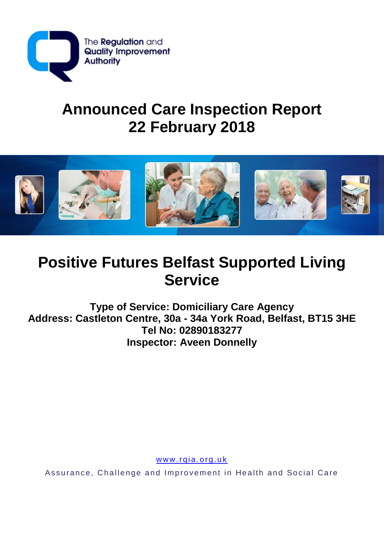

# **Announced Care Inspection Report 22 February 2018**



# **Positive Futures Belfast Supported Living Service**

**Type of Service: Domiciliary Care Agency Address: Castleton Centre, 30a - 34a York Road, Belfast, BT15 3HE Tel No: 02890183277 Inspector: Aveen Donnelly**

www.rqia.org.uk

Assurance, Challenge and Improvement in Health and Social Care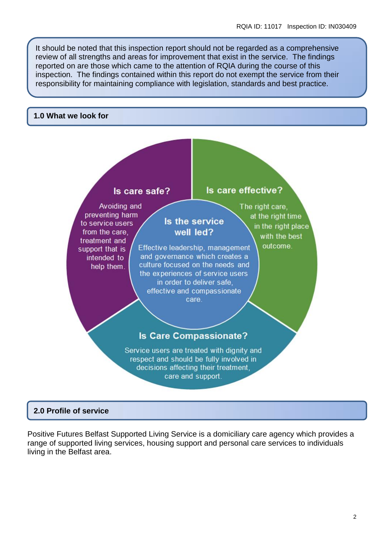It should be noted that this inspection report should not be regarded as a comprehensive review of all strengths and areas for improvement that exist in the service. The findings reported on are those which came to the attention of RQIA during the course of this inspection. The findings contained within this report do not exempt the service from their responsibility for maintaining compliance with legislation, standards and best practice.

#### **1.0 What we look for**



## **2.0 Profile of service**

Positive Futures Belfast Supported Living Service is a domiciliary care agency which provides a range of supported living services, housing support and personal care services to individuals living in the Belfast area.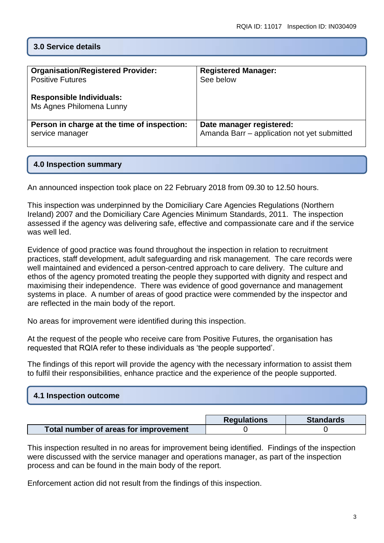## **3.0 Service details**

| <b>Organisation/Registered Provider:</b><br><b>Positive Futures</b><br><b>Responsible Individuals:</b><br>Ms Agnes Philomena Lunny | <b>Registered Manager:</b><br>See below     |
|------------------------------------------------------------------------------------------------------------------------------------|---------------------------------------------|
| Person in charge at the time of inspection:                                                                                        | Date manager registered:                    |
| service manager                                                                                                                    | Amanda Barr - application not yet submitted |

## **4.0 Inspection summary**

An announced inspection took place on 22 February 2018 from 09.30 to 12.50 hours.

This inspection was underpinned by the Domiciliary Care Agencies Regulations (Northern Ireland) 2007 and the Domiciliary Care Agencies Minimum Standards, 2011. The inspection assessed if the agency was delivering safe, effective and compassionate care and if the service was well led.

Evidence of good practice was found throughout the inspection in relation to recruitment practices, staff development, adult safeguarding and risk management. The care records were well maintained and evidenced a person-centred approach to care delivery. The culture and ethos of the agency promoted treating the people they supported with dignity and respect and maximising their independence. There was evidence of good governance and management systems in place. A number of areas of good practice were commended by the inspector and are reflected in the main body of the report.

No areas for improvement were identified during this inspection.

At the request of the people who receive care from Positive Futures, the organisation has requested that RQIA refer to these individuals as 'the people supported'.

The findings of this report will provide the agency with the necessary information to assist them to fulfil their responsibilities, enhance practice and the experience of the people supported.

| 4.1 Inspection outcome |  |
|------------------------|--|
|                        |  |

|                                       | <b>Regulations</b> | <b>Standards</b> |
|---------------------------------------|--------------------|------------------|
| Total number of areas for improvement |                    |                  |

This inspection resulted in no areas for improvement being identified. Findings of the inspection were discussed with the service manager and operations manager, as part of the inspection process and can be found in the main body of the report.

Enforcement action did not result from the findings of this inspection.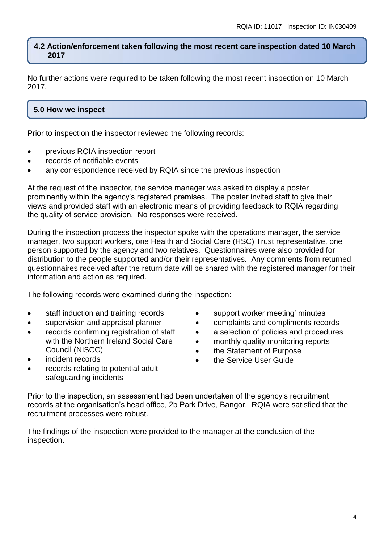#### **4.2 Action/enforcement taken following the most recent care inspection dated 10 March 2017**

No further actions were required to be taken following the most recent inspection on 10 March 2017.

## **5.0 How we inspect**

Prior to inspection the inspector reviewed the following records:

- previous RQIA inspection report
- records of notifiable events
- any correspondence received by RQIA since the previous inspection

At the request of the inspector, the service manager was asked to display a poster prominently within the agency's registered premises. The poster invited staff to give their views and provided staff with an electronic means of providing feedback to RQIA regarding the quality of service provision. No responses were received.

During the inspection process the inspector spoke with the operations manager, the service manager, two support workers, one Health and Social Care (HSC) Trust representative, one person supported by the agency and two relatives. Questionnaires were also provided for distribution to the people supported and/or their representatives. Any comments from returned questionnaires received after the return date will be shared with the registered manager for their information and action as required.

The following records were examined during the inspection:

- staff induction and training records
- supervision and appraisal planner
- records confirming registration of staff with the Northern Ireland Social Care Council (NISCC)
- incident records
- support worker meeting' minutes
- complaints and compliments records
- a selection of policies and procedures
- monthly quality monitoring reports
- the Statement of Purpose
- the Service User Guide
- records relating to potential adult safeguarding incidents

Prior to the inspection, an assessment had been undertaken of the agency's recruitment records at the organisation's head office, 2b Park Drive, Bangor. RQIA were satisfied that the recruitment processes were robust.

The findings of the inspection were provided to the manager at the conclusion of the inspection.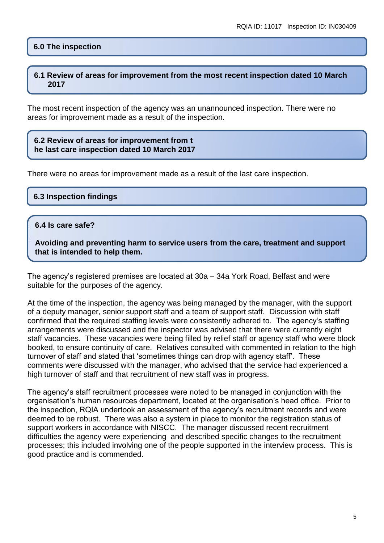#### **6.0 The inspection**

#### **6.1 Review of areas for improvement from the most recent inspection dated 10 March 2017**

The most recent inspection of the agency was an unannounced inspection. There were no areas for improvement made as a result of the inspection.

#### **6.2 Review of areas for improvement from t he last care inspection dated 10 March 2017**

There were no areas for improvement made as a result of the last care inspection.

#### **6.3 Inspection findings**

#### **6.4 Is care safe?**

**Avoiding and preventing harm to service users from the care, treatment and support that is intended to help them.**

The agency's registered premises are located at 30a – 34a York Road, Belfast and were suitable for the purposes of the agency.

At the time of the inspection, the agency was being managed by the manager, with the support of a deputy manager, senior support staff and a team of support staff. Discussion with staff confirmed that the required staffing levels were consistently adhered to. The agency's staffing arrangements were discussed and the inspector was advised that there were currently eight staff vacancies. These vacancies were being filled by relief staff or agency staff who were block booked, to ensure continuity of care. Relatives consulted with commented in relation to the high turnover of staff and stated that 'sometimes things can drop with agency staff'. These comments were discussed with the manager, who advised that the service had experienced a high turnover of staff and that recruitment of new staff was in progress.

The agency's staff recruitment processes were noted to be managed in conjunction with the organisation's human resources department, located at the organisation's head office. Prior to the inspection, RQIA undertook an assessment of the agency's recruitment records and were deemed to be robust. There was also a system in place to monitor the registration status of support workers in accordance with NISCC. The manager discussed recent recruitment difficulties the agency were experiencing and described specific changes to the recruitment processes; this included involving one of the people supported in the interview process. This is good practice and is commended.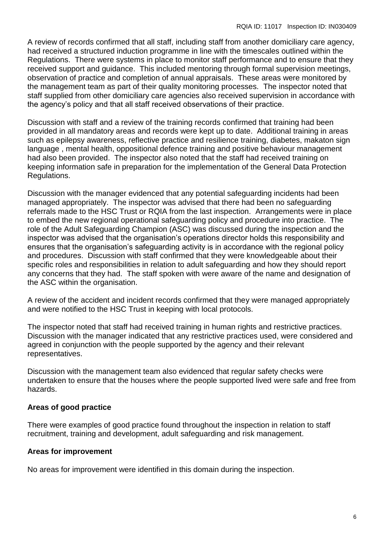A review of records confirmed that all staff, including staff from another domiciliary care agency, had received a structured induction programme in line with the timescales outlined within the Regulations. There were systems in place to monitor staff performance and to ensure that they received support and guidance. This included mentoring through formal supervision meetings, observation of practice and completion of annual appraisals. These areas were monitored by the management team as part of their quality monitoring processes. The inspector noted that staff supplied from other domiciliary care agencies also received supervision in accordance with the agency's policy and that all staff received observations of their practice.

Discussion with staff and a review of the training records confirmed that training had been provided in all mandatory areas and records were kept up to date. Additional training in areas such as epilepsy awareness, reflective practice and resilience training, diabetes, makaton sign language , mental health, oppositional defence training and positive behaviour management had also been provided. The inspector also noted that the staff had received training on keeping information safe in preparation for the implementation of the General Data Protection Regulations.

Discussion with the manager evidenced that any potential safeguarding incidents had been managed appropriately. The inspector was advised that there had been no safeguarding referrals made to the HSC Trust or RQIA from the last inspection. Arrangements were in place to embed the new regional operational safeguarding policy and procedure into practice. The role of the Adult Safeguarding Champion (ASC) was discussed during the inspection and the inspector was advised that the organisation's operations director holds this responsibility and ensures that the organisation's safeguarding activity is in accordance with the regional policy and procedures. Discussion with staff confirmed that they were knowledgeable about their specific roles and responsibilities in relation to adult safeguarding and how they should report any concerns that they had. The staff spoken with were aware of the name and designation of the ASC within the organisation.

A review of the accident and incident records confirmed that they were managed appropriately and were notified to the HSC Trust in keeping with local protocols.

The inspector noted that staff had received training in human rights and restrictive practices. Discussion with the manager indicated that any restrictive practices used, were considered and agreed in conjunction with the people supported by the agency and their relevant representatives.

Discussion with the management team also evidenced that regular safety checks were undertaken to ensure that the houses where the people supported lived were safe and free from hazards.

## **Areas of good practice**

There were examples of good practice found throughout the inspection in relation to staff recruitment, training and development, adult safeguarding and risk management.

## **Areas for improvement**

No areas for improvement were identified in this domain during the inspection.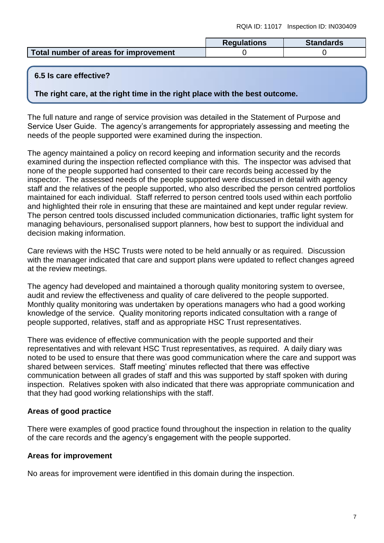|                                       | <b>Regulations</b> | <b>Standards</b> |
|---------------------------------------|--------------------|------------------|
| Total number of areas for improvement |                    |                  |

## **6.5 Is care effective?**

**The right care, at the right time in the right place with the best outcome.**

The full nature and range of service provision was detailed in the Statement of Purpose and Service User Guide. The agency's arrangements for appropriately assessing and meeting the needs of the people supported were examined during the inspection.

The agency maintained a policy on record keeping and information security and the records examined during the inspection reflected compliance with this. The inspector was advised that none of the people supported had consented to their care records being accessed by the inspector. The assessed needs of the people supported were discussed in detail with agency staff and the relatives of the people supported, who also described the person centred portfolios maintained for each individual. Staff referred to person centred tools used within each portfolio and highlighted their role in ensuring that these are maintained and kept under regular review. The person centred tools discussed included communication dictionaries, traffic light system for managing behaviours, personalised support planners, how best to support the individual and decision making information.

Care reviews with the HSC Trusts were noted to be held annually or as required. Discussion with the manager indicated that care and support plans were updated to reflect changes agreed at the review meetings.

The agency had developed and maintained a thorough quality monitoring system to oversee, audit and review the effectiveness and quality of care delivered to the people supported. Monthly quality monitoring was undertaken by operations managers who had a good working knowledge of the service. Quality monitoring reports indicated consultation with a range of people supported, relatives, staff and as appropriate HSC Trust representatives.

There was evidence of effective communication with the people supported and their representatives and with relevant HSC Trust representatives, as required. A daily diary was noted to be used to ensure that there was good communication where the care and support was shared between services. Staff meeting' minutes reflected that there was effective communication between all grades of staff and this was supported by staff spoken with during inspection. Relatives spoken with also indicated that there was appropriate communication and that they had good working relationships with the staff.

## **Areas of good practice**

There were examples of good practice found throughout the inspection in relation to the quality of the care records and the agency's engagement with the people supported.

#### **Areas for improvement**

No areas for improvement were identified in this domain during the inspection.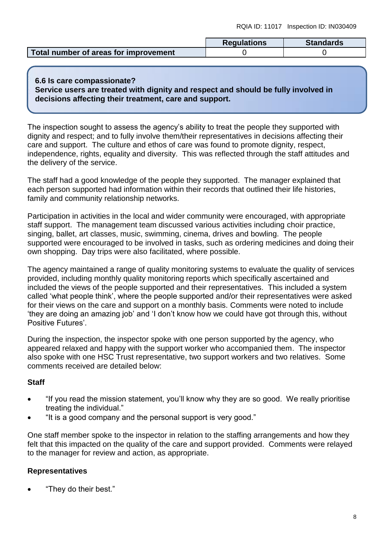|                                       | <b>Regulations</b> | <b>Standards</b> |
|---------------------------------------|--------------------|------------------|
| Total number of areas for improvement |                    |                  |

#### **6.6 Is care compassionate? Service users are treated with dignity and respect and should be fully involved in decisions affecting their treatment, care and support.**

The inspection sought to assess the agency's ability to treat the people they supported with dignity and respect; and to fully involve them/their representatives in decisions affecting their care and support. The culture and ethos of care was found to promote dignity, respect, independence, rights, equality and diversity. This was reflected through the staff attitudes and the delivery of the service.

The staff had a good knowledge of the people they supported. The manager explained that each person supported had information within their records that outlined their life histories, family and community relationship networks.

Participation in activities in the local and wider community were encouraged, with appropriate staff support. The management team discussed various activities including choir practice, singing, ballet, art classes, music, swimming, cinema, drives and bowling. The people supported were encouraged to be involved in tasks, such as ordering medicines and doing their own shopping. Day trips were also facilitated, where possible.

The agency maintained a range of quality monitoring systems to evaluate the quality of services provided, including monthly quality monitoring reports which specifically ascertained and included the views of the people supported and their representatives. This included a system called 'what people think', where the people supported and/or their representatives were asked for their views on the care and support on a monthly basis. Comments were noted to include 'they are doing an amazing job' and 'I don't know how we could have got through this, without Positive Futures'.

During the inspection, the inspector spoke with one person supported by the agency, who appeared relaxed and happy with the support worker who accompanied them. The inspector also spoke with one HSC Trust representative, two support workers and two relatives. Some comments received are detailed below:

## **Staff**

- "If you read the mission statement, you'll know why they are so good. We really prioritise treating the individual."
- "It is a good company and the personal support is very good."

One staff member spoke to the inspector in relation to the staffing arrangements and how they felt that this impacted on the quality of the care and support provided. Comments were relayed to the manager for review and action, as appropriate.

## **Representatives**

"They do their best."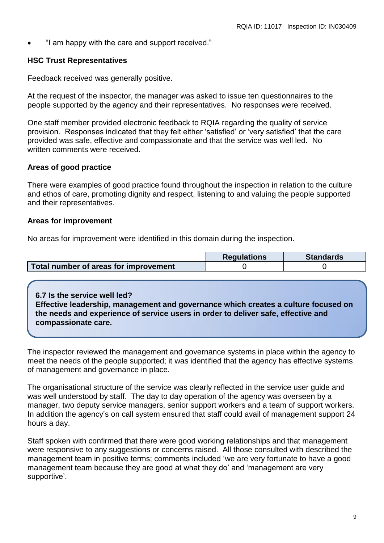"I am happy with the care and support received."

## **HSC Trust Representatives**

Feedback received was generally positive.

At the request of the inspector, the manager was asked to issue ten questionnaires to the people supported by the agency and their representatives. No responses were received.

One staff member provided electronic feedback to RQIA regarding the quality of service provision. Responses indicated that they felt either 'satisfied' or 'very satisfied' that the care provided was safe, effective and compassionate and that the service was well led. No written comments were received.

## **Areas of good practice**

There were examples of good practice found throughout the inspection in relation to the culture and ethos of care, promoting dignity and respect, listening to and valuing the people supported and their representatives.

#### **Areas for improvement**

No areas for improvement were identified in this domain during the inspection.

|                                       | <b>Regulations</b> | <b>Standards</b> |
|---------------------------------------|--------------------|------------------|
| Total number of areas for improvement |                    |                  |

**6.7 Is the service well led? Effective leadership, management and governance which creates a culture focused on the needs and experience of service users in order to deliver safe, effective and compassionate care.**

The inspector reviewed the management and governance systems in place within the agency to meet the needs of the people supported; it was identified that the agency has effective systems of management and governance in place.

The organisational structure of the service was clearly reflected in the service user guide and was well understood by staff. The day to day operation of the agency was overseen by a manager, two deputy service managers, senior support workers and a team of support workers. In addition the agency's on call system ensured that staff could avail of management support 24 hours a day.

Staff spoken with confirmed that there were good working relationships and that management were responsive to any suggestions or concerns raised. All those consulted with described the management team in positive terms; comments included 'we are very fortunate to have a good management team because they are good at what they do' and 'management are very supportive'.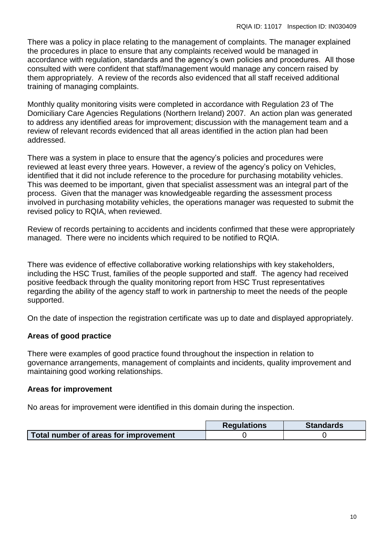There was a policy in place relating to the management of complaints. The manager explained the procedures in place to ensure that any complaints received would be managed in accordance with regulation, standards and the agency's own policies and procedures. All those consulted with were confident that staff/management would manage any concern raised by them appropriately. A review of the records also evidenced that all staff received additional training of managing complaints.

Monthly quality monitoring visits were completed in accordance with Regulation 23 of The Domiciliary Care Agencies Regulations (Northern Ireland) 2007. An action plan was generated to address any identified areas for improvement; discussion with the management team and a review of relevant records evidenced that all areas identified in the action plan had been addressed.

There was a system in place to ensure that the agency's policies and procedures were reviewed at least every three years. However, a review of the agency's policy on Vehicles, identified that it did not include reference to the procedure for purchasing motability vehicles. This was deemed to be important, given that specialist assessment was an integral part of the process. Given that the manager was knowledgeable regarding the assessment process involved in purchasing motability vehicles, the operations manager was requested to submit the revised policy to RQIA, when reviewed.

Review of records pertaining to accidents and incidents confirmed that these were appropriately managed. There were no incidents which required to be notified to RQIA.

There was evidence of effective collaborative working relationships with key stakeholders, including the HSC Trust, families of the people supported and staff. The agency had received positive feedback through the quality monitoring report from HSC Trust representatives regarding the ability of the agency staff to work in partnership to meet the needs of the people supported.

On the date of inspection the registration certificate was up to date and displayed appropriately.

## **Areas of good practice**

There were examples of good practice found throughout the inspection in relation to governance arrangements, management of complaints and incidents, quality improvement and maintaining good working relationships.

#### **Areas for improvement**

No areas for improvement were identified in this domain during the inspection.

|                                       | <b>Regulations</b> | <b>Standards</b> |
|---------------------------------------|--------------------|------------------|
| Total number of areas for improvement |                    |                  |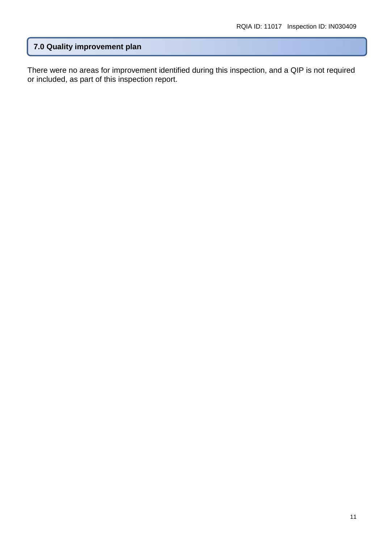## **7.0 Quality improvement plan**

There were no areas for improvement identified during this inspection, and a QIP is not required or included, as part of this inspection report.